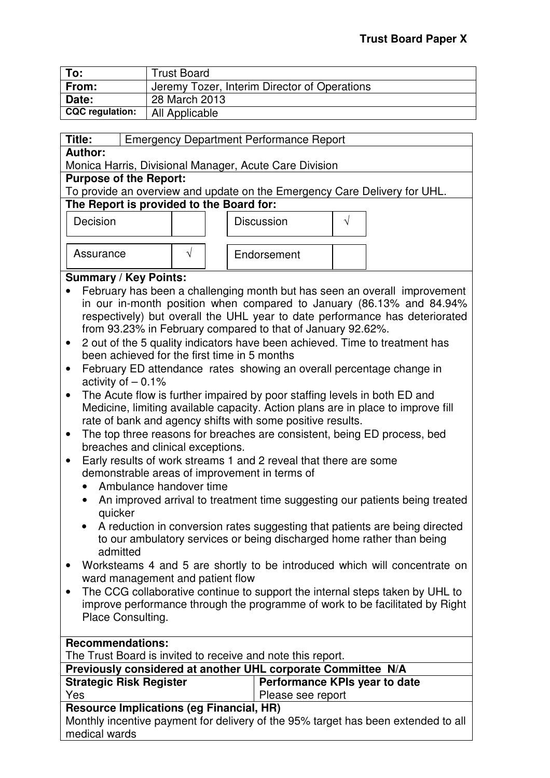| To:                    | <b>Trust Board</b>                           |
|------------------------|----------------------------------------------|
| From:                  | Jeremy Tozer, Interim Director of Operations |
| Date:                  | 28 March 2013                                |
| <b>CQC</b> regulation: | All Applicable                               |

| Title:                                   | <b>Emergency Department Performance Report</b> |  |  |                                                        |  |               |                                                                           |  |
|------------------------------------------|------------------------------------------------|--|--|--------------------------------------------------------|--|---------------|---------------------------------------------------------------------------|--|
| <b>Author:</b>                           |                                                |  |  |                                                        |  |               |                                                                           |  |
|                                          |                                                |  |  | Monica Harris, Divisional Manager, Acute Care Division |  |               |                                                                           |  |
| <b>Purpose of the Report:</b>            |                                                |  |  |                                                        |  |               |                                                                           |  |
|                                          |                                                |  |  |                                                        |  |               | To provide an overview and update on the Emergency Care Delivery for UHL. |  |
| The Report is provided to the Board for: |                                                |  |  |                                                        |  |               |                                                                           |  |
| Decision                                 |                                                |  |  | <b>Discussion</b>                                      |  | $\mathcal{N}$ |                                                                           |  |

| Assurance |  | Endorsement |
|-----------|--|-------------|

# **Summary / Key Points:**

- February has been a challenging month but has seen an overall improvement in our in-month position when compared to January (86.13% and 84.94% respectively) but overall the UHL year to date performance has deteriorated from 93.23% in February compared to that of January 92.62%.
- 2 out of the 5 quality indicators have been achieved. Time to treatment has been achieved for the first time in 5 months
- February ED attendance rates showing an overall percentage change in activity of  $-0.1\%$
- The Acute flow is further impaired by poor staffing levels in both ED and Medicine, limiting available capacity. Action plans are in place to improve fill rate of bank and agency shifts with some positive results.
- The top three reasons for breaches are consistent, being ED process, bed breaches and clinical exceptions.
- Early results of work streams 1 and 2 reveal that there are some demonstrable areas of improvement in terms of
	- Ambulance handover time
	- An improved arrival to treatment time suggesting our patients being treated quicker
	- A reduction in conversion rates suggesting that patients are being directed to our ambulatory services or being discharged home rather than being admitted
- Worksteams 4 and 5 are shortly to be introduced which will concentrate on ward management and patient flow
- The CCG collaborative continue to support the internal steps taken by UHL to improve performance through the programme of work to be facilitated by Right Place Consulting.

| <b>Recommendations:</b>                                                           |                               |  |  |  |
|-----------------------------------------------------------------------------------|-------------------------------|--|--|--|
| The Trust Board is invited to receive and note this report.                       |                               |  |  |  |
| Previously considered at another UHL corporate Committee N/A                      |                               |  |  |  |
| <b>Strategic Risk Register</b>                                                    | Performance KPIs year to date |  |  |  |
| Yes                                                                               | Please see report             |  |  |  |
| <b>Resource Implications (eg Financial, HR)</b>                                   |                               |  |  |  |
| Monthly incentive payment for delivery of the 95% target has been extended to all |                               |  |  |  |
| medical wards                                                                     |                               |  |  |  |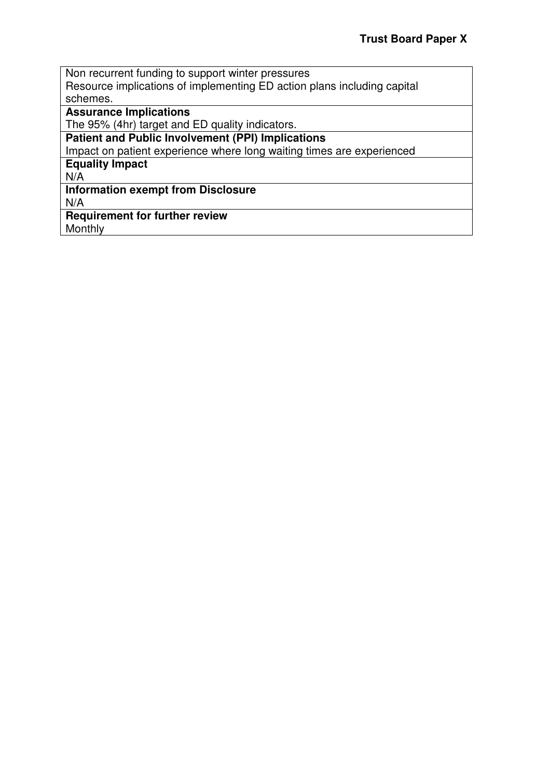Non recurrent funding to support winter pressures Resource implications of implementing ED action plans including capital schemes. **Assurance Implications**  The 95% (4hr) target and ED quality indicators. **Patient and Public Involvement (PPI) Implications** 

Impact on patient experience where long waiting times are experienced

**Equality Impact** 

N/A

# **Information exempt from Disclosure**

N/A

**Requirement for further review**  Monthly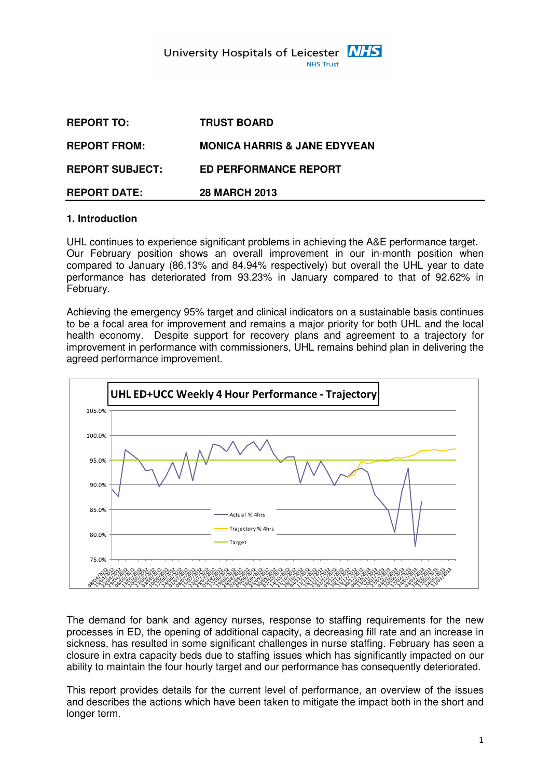| <b>REPORT DATE:</b>    | <b>28 MARCH 2013</b>                    |
|------------------------|-----------------------------------------|
| <b>REPORT SUBJECT:</b> | <b>ED PERFORMANCE REPORT</b>            |
| <b>REPORT FROM:</b>    | <b>MONICA HARRIS &amp; JANE EDYVEAN</b> |
| <b>REPORT TO:</b>      | <b>TRUST BOARD</b>                      |

### **1. Introduction**

UHL continues to experience significant problems in achieving the A&E performance target. Our February position shows an overall improvement in our in-month position when compared to January (86.13% and 84.94% respectively) but overall the UHL year to date performance has deteriorated from 93.23% in January compared to that of 92.62% in February.

Achieving the emergency 95% target and clinical indicators on a sustainable basis continues to be a focal area for improvement and remains a major priority for both UHL and the local health economy. Despite support for recovery plans and agreement to a trajectory for improvement in performance with commissioners, UHL remains behind plan in delivering the agreed performance improvement.



The demand for bank and agency nurses, response to staffing requirements for the new processes in ED, the opening of additional capacity, a decreasing fill rate and an increase in sickness, has resulted in some significant challenges in nurse staffing. February has seen a closure in extra capacity beds due to staffing issues which has significantly impacted on our ability to maintain the four hourly target and our performance has consequently deteriorated.

This report provides details for the current level of performance, an overview of the issues and describes the actions which have been taken to mitigate the impact both in the short and longer term.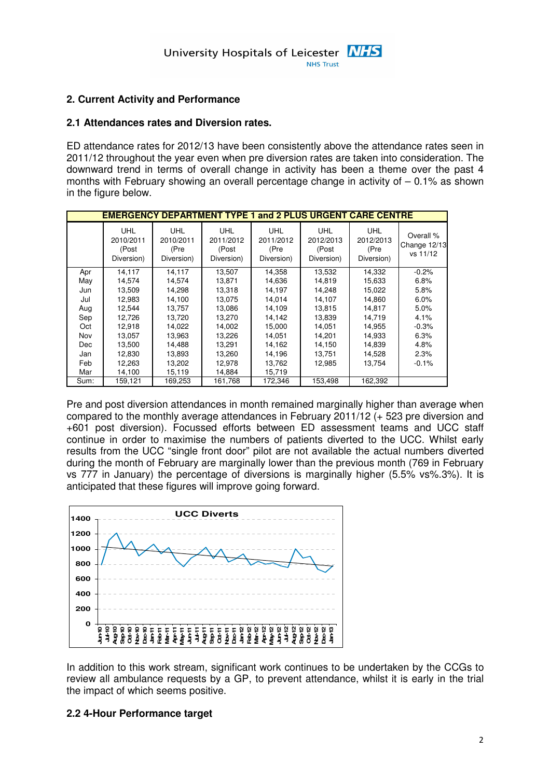# **2. Current Activity and Performance**

#### **2.1 Attendances rates and Diversion rates.**

ED attendance rates for 2012/13 have been consistently above the attendance rates seen in 2011/12 throughout the year even when pre diversion rates are taken into consideration. The downward trend in terms of overall change in activity has been a theme over the past 4 months with February showing an overall percentage change in activity of – 0.1% as shown in the figure below.

|            | <b>EMERGENCY DEPARTMENT TYPE 1 and 2 PLUS URGENT CARE CENTRE</b> |                                               |                                                |                                               |                                                |                                               |                                       |
|------------|------------------------------------------------------------------|-----------------------------------------------|------------------------------------------------|-----------------------------------------------|------------------------------------------------|-----------------------------------------------|---------------------------------------|
|            | <b>UHL</b><br>2010/2011<br>(Post<br>Diversion)                   | <b>UHL</b><br>2010/2011<br>(Pre<br>Diversion) | <b>UHL</b><br>2011/2012<br>(Post<br>Diversion) | <b>UHL</b><br>2011/2012<br>(Pre<br>Diversion) | <b>UHL</b><br>2012/2013<br>(Post<br>Diversion) | <b>UHL</b><br>2012/2013<br>(Pre<br>Diversion) | Overall %<br>Change 12/13<br>vs 11/12 |
| Apr        | 14,117                                                           | 14,117                                        | 13,507                                         | 14,358                                        | 13,532                                         | 14,332                                        | $-0.2%$                               |
| May        | 14,574                                                           | 14,574                                        | 13,871                                         | 14,636                                        | 14.819                                         | 15,633                                        | 6.8%                                  |
| Jun        | 13,509                                                           | 14,298                                        | 13,318                                         | 14,197                                        | 14,248                                         | 15,022                                        | 5.8%                                  |
| Jul        | 12,983                                                           | 14,100                                        | 13.075                                         | 14,014                                        | 14,107                                         | 14.860                                        | 6.0%                                  |
| Aug        | 12.544                                                           | 13,757                                        | 13,086                                         | 14,109                                        | 13.815                                         | 14.817                                        | 5.0%                                  |
| Sep        | 12,726                                                           | 13,720                                        | 13,270                                         | 14,142                                        | 13,839                                         | 14,719                                        | 4.1%                                  |
| Oct        | 12,918                                                           | 14,022                                        | 14,002                                         | 15,000                                        | 14,051                                         | 14,955                                        | $-0.3%$                               |
| Nov        | 13.057                                                           | 13,963                                        | 13,226                                         | 14.051                                        | 14.201                                         | 14.933                                        | 6.3%                                  |
| <b>Dec</b> | 13,500                                                           | 14,488                                        | 13,291                                         | 14,162                                        | 14,150                                         | 14,839                                        | 4.8%                                  |
| Jan        | 12,830                                                           | 13,893                                        | 13,260                                         | 14,196                                        | 13,751                                         | 14,528                                        | 2.3%                                  |
| Feb        | 12,263                                                           | 13,202                                        | 12,978                                         | 13,762                                        | 12,985                                         | 13.754                                        | $-0.1%$                               |
| Mar        | 14,100                                                           | 15,119                                        | 14,884                                         | 15,719                                        |                                                |                                               |                                       |
| Sum:       | 159,121                                                          | 169,253                                       | 161,768                                        | 172,346                                       | 153,498                                        | 162,392                                       |                                       |

Pre and post diversion attendances in month remained marginally higher than average when compared to the monthly average attendances in February 2011/12 (+ 523 pre diversion and +601 post diversion). Focussed efforts between ED assessment teams and UCC staff continue in order to maximise the numbers of patients diverted to the UCC. Whilst early results from the UCC "single front door" pilot are not available the actual numbers diverted during the month of February are marginally lower than the previous month (769 in February vs 777 in January) the percentage of diversions is marginally higher (5.5% vs%.3%). It is anticipated that these figures will improve going forward.



In addition to this work stream, significant work continues to be undertaken by the CCGs to review all ambulance requests by a GP, to prevent attendance, whilst it is early in the trial the impact of which seems positive.

#### **2.2 4-Hour Performance target**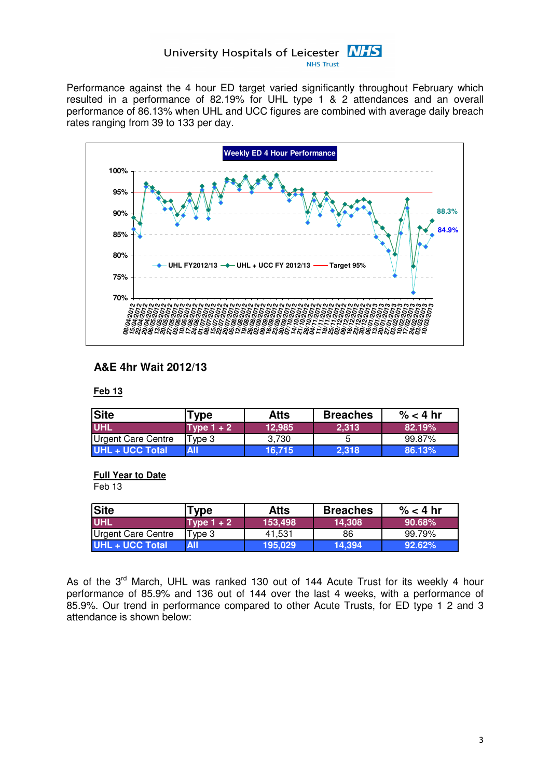Performance against the 4 hour ED target varied significantly throughout February which resulted in a performance of 82.19% for UHL type 1 & 2 attendances and an overall performance of 86.13% when UHL and UCC figures are combined with average daily breach rates ranging from 39 to 133 per day.



# **A&E 4hr Wait 2012/13**

#### **Feb 13**

| <b>Site</b>        | <b>Type</b>  | <b>Atts</b> | <b>Breaches</b> | $\%$ < 4 hr |
|--------------------|--------------|-------------|-----------------|-------------|
| <b>UHL</b>         | Type $1 + 2$ | 12.985      | 2.313           | 82.19%      |
| Urgent Care Centre | Type 3       | 3.730       |                 | 99.87%      |
| UHL + UCC Total    | <b>All</b>   | 16.715      | 2.318           | 86.13%      |

#### **Full Year to Date**

Feb 13

| <b>Site</b>        | Type         | <b>Atts</b> | <b>Breaches</b> | $\% < 4$ hr |
|--------------------|--------------|-------------|-----------------|-------------|
| <b>UHL</b>         | Type $1 + 2$ | 153,498     | 14,308          | $90.68\%$   |
| Urgent Care Centre | Type 3       | 41.531      | 86              | 99.79%      |
| UHL + UCC Total    | <b>All</b>   | 195.029     | 14.394          | $92.62\%$   |

As of the 3<sup>rd</sup> March, UHL was ranked 130 out of 144 Acute Trust for its weekly 4 hour performance of 85.9% and 136 out of 144 over the last 4 weeks, with a performance of 85.9%. Our trend in performance compared to other Acute Trusts, for ED type 1 2 and 3 attendance is shown below: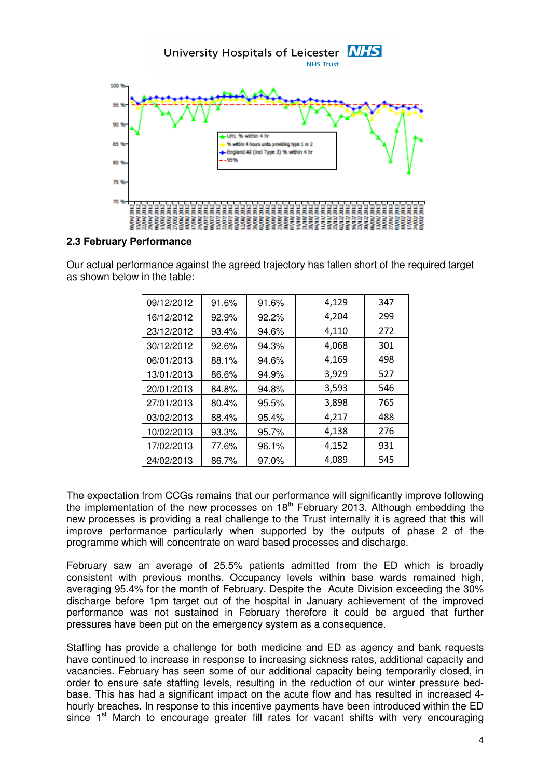

#### **2.3 February Performance**

Our actual performance against the agreed trajectory has fallen short of the required target as shown below in the table:

| 09/12/2012 | 91.6% | 91.6% | 4,129<br>347 |
|------------|-------|-------|--------------|
| 16/12/2012 | 92.9% | 92.2% | 4,204<br>299 |
| 23/12/2012 | 93.4% | 94.6% | 4,110<br>272 |
| 30/12/2012 | 92.6% | 94.3% | 4,068<br>301 |
| 06/01/2013 | 88.1% | 94.6% | 4,169<br>498 |
| 13/01/2013 | 86.6% | 94.9% | 3,929<br>527 |
| 20/01/2013 | 84.8% | 94.8% | 3,593<br>546 |
| 27/01/2013 | 80.4% | 95.5% | 3,898<br>765 |
| 03/02/2013 | 88.4% | 95.4% | 4,217<br>488 |
| 10/02/2013 | 93.3% | 95.7% | 4,138<br>276 |
| 17/02/2013 | 77.6% | 96.1% | 4,152<br>931 |
| 24/02/2013 | 86.7% | 97.0% | 4,089<br>545 |

The expectation from CCGs remains that our performance will significantly improve following the implementation of the new processes on  $18<sup>th</sup>$  February 2013. Although embedding the new processes is providing a real challenge to the Trust internally it is agreed that this will improve performance particularly when supported by the outputs of phase 2 of the programme which will concentrate on ward based processes and discharge.

February saw an average of 25.5% patients admitted from the ED which is broadly consistent with previous months. Occupancy levels within base wards remained high, averaging 95.4% for the month of February. Despite the Acute Division exceeding the 30% discharge before 1pm target out of the hospital in January achievement of the improved performance was not sustained in February therefore it could be argued that further pressures have been put on the emergency system as a consequence.

Staffing has provide a challenge for both medicine and ED as agency and bank requests have continued to increase in response to increasing sickness rates, additional capacity and vacancies. February has seen some of our additional capacity being temporarily closed, in order to ensure safe staffing levels, resulting in the reduction of our winter pressure bedbase. This has had a significant impact on the acute flow and has resulted in increased 4 hourly breaches. In response to this incentive payments have been introduced within the ED since  $1<sup>st</sup>$  March to encourage greater fill rates for vacant shifts with very encouraging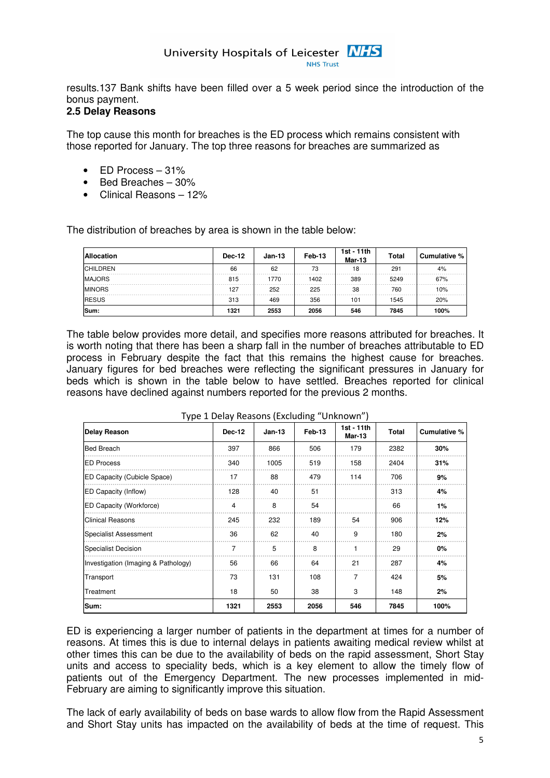results.137 Bank shifts have been filled over a 5 week period since the introduction of the bonus payment.

# **2.5 Delay Reasons**

The top cause this month for breaches is the ED process which remains consistent with those reported for January. The top three reasons for breaches are summarized as

- ED Process 31%
- Bed Breaches 30%
- Clinical Reasons 12%

The distribution of breaches by area is shown in the table below:

| <b>Allocation</b> | <b>Dec-12</b> | $Jan-13$ | Feb-13 | 1st - 11th<br><b>Mar-13</b> | <b>Total</b> | Cumulative % |
|-------------------|---------------|----------|--------|-----------------------------|--------------|--------------|
| <b>CHILDREN</b>   | 66            | 62       | 73     | 18                          | 291          | 4%           |
| <b>MAJORS</b>     | 815           | 1770     | 1402   | 389                         | 5249         | 67%          |
| <b>MINORS</b>     | 127           | 252      | 225    | 38                          | 760          | 10%          |
| <b>RESUS</b>      | 313           | 469      | 356    | 101                         | 1545         | 20%          |
| Sum:              | 1321          | 2553     | 2056   | 546                         | 7845         | 100%         |

The table below provides more detail, and specifies more reasons attributed for breaches. It is worth noting that there has been a sharp fall in the number of breaches attributable to ED process in February despite the fact that this remains the highest cause for breaches. January figures for bed breaches were reflecting the significant pressures in January for beds which is shown in the table below to have settled. Breaches reported for clinical reasons have declined against numbers reported for the previous 2 months.

| Delay Reason                        | <b>Dec-12</b> | $Jan-13$ | Feb-13 | 1st - 11th<br>Mar-13 | <b>Total</b> | Cumulative % |
|-------------------------------------|---------------|----------|--------|----------------------|--------------|--------------|
| <b>Bed Breach</b>                   | 397           | 866      | 506    | 179                  | 2382         | 30%          |
| <b>ED Process</b>                   | 340           | 1005     | 519    | 158                  | 2404         | 31%          |
| ED Capacity (Cubicle Space)         | 17            | 88       | 479    | 114                  | 706          | 9%           |
| ED Capacity (Inflow)                | 128           | 40       | 51     |                      | 313          | 4%           |
| ED Capacity (Workforce)             | 4             | 8        | 54     |                      | 66           | 1%           |
| <b>Clinical Reasons</b>             | 245           | 232      | 189    | 54                   | 906          | 12%          |
| <b>Specialist Assessment</b>        | 36            | 62       | 40     | 9                    | 180          | 2%           |
| Specialist Decision                 | 7             | 5        | 8      |                      | 29           | 0%           |
| Investigation (Imaging & Pathology) | 56            | 66       | 64     | 21                   | 287          | 4%           |
| Transport                           | 73            | 131      | 108    | 7                    | 424          | 5%           |
| Treatment                           | 18            | 50       | 38     | 3                    | 148          | 2%           |
| Sum:                                | 1321          | 2553     | 2056   | 546                  | 7845         | 100%         |

Type 1 Delay Reasons (Excluding "Unknown")

ED is experiencing a larger number of patients in the department at times for a number of reasons. At times this is due to internal delays in patients awaiting medical review whilst at other times this can be due to the availability of beds on the rapid assessment, Short Stay units and access to speciality beds, which is a key element to allow the timely flow of patients out of the Emergency Department. The new processes implemented in mid-February are aiming to significantly improve this situation.

The lack of early availability of beds on base wards to allow flow from the Rapid Assessment and Short Stay units has impacted on the availability of beds at the time of request. This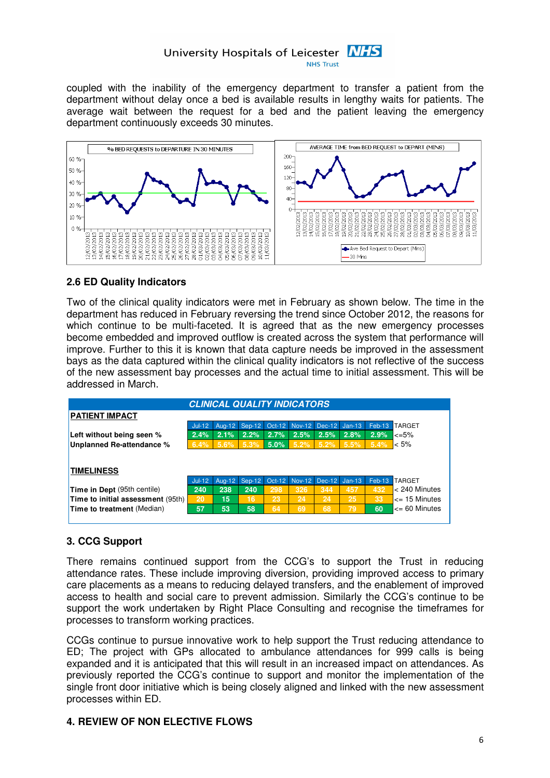coupled with the inability of the emergency department to transfer a patient from the department without delay once a bed is available results in lengthy waits for patients. The average wait between the request for a bed and the patient leaving the emergency department continuously exceeds 30 minutes.



# **2.6 ED Quality Indicators**

Two of the clinical quality indicators were met in February as shown below. The time in the department has reduced in February reversing the trend since October 2012, the reasons for which continue to be multi-faceted. It is agreed that as the new emergency processes become embedded and improved outflow is created across the system that performance will improve. Further to this it is known that data capture needs be improved in the assessment bays as the data captured within the clinical quality indicators is not reflective of the success of the new assessment bay processes and the actual time to initial assessment. This will be addressed in March.



# **3. CCG Support**

There remains continued support from the CCG's to support the Trust in reducing attendance rates. These include improving diversion, providing improved access to primary care placements as a means to reducing delayed transfers, and the enablement of improved access to health and social care to prevent admission. Similarly the CCG's continue to be support the work undertaken by Right Place Consulting and recognise the timeframes for processes to transform working practices.

CCGs continue to pursue innovative work to help support the Trust reducing attendance to ED; The project with GPs allocated to ambulance attendances for 999 calls is being expanded and it is anticipated that this will result in an increased impact on attendances. As previously reported the CCG's continue to support and monitor the implementation of the single front door initiative which is being closely aligned and linked with the new assessment processes within ED.

# **4. REVIEW OF NON ELECTIVE FLOWS**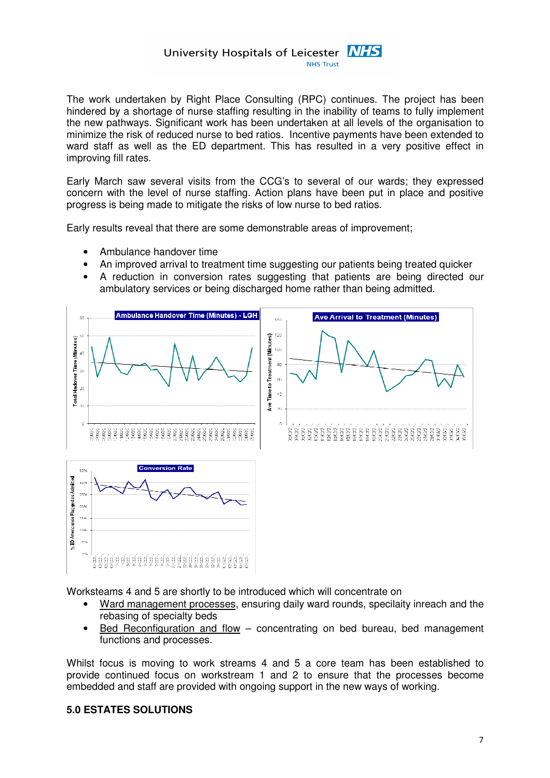The work undertaken by Right Place Consulting (RPC) continues. The project has been hindered by a shortage of nurse staffing resulting in the inability of teams to fully implement the new pathways. Significant work has been undertaken at all levels of the organisation to minimize the risk of reduced nurse to bed ratios. Incentive payments have been extended to ward staff as well as the ED department. This has resulted in a very positive effect in improving fill rates.

Early March saw several visits from the CCG's to several of our wards; they expressed concern with the level of nurse staffing. Action plans have been put in place and positive progress is being made to mitigate the risks of low nurse to bed ratios.

Early results reveal that there are some demonstrable areas of improvement;

- Ambulance handover time
- An improved arrival to treatment time suggesting our patients being treated quicker
- A reduction in conversion rates suggesting that patients are being directed our ambulatory services or being discharged home rather than being admitted.



Worksteams 4 and 5 are shortly to be introduced which will concentrate on

- Ward management processes, ensuring daily ward rounds, specilaity inreach and the rebasing of specialty beds
- Bed Reconfiguration and flow concentrating on bed bureau, bed management functions and processes.

Whilst focus is moving to work streams 4 and 5 a core team has been established to provide continued focus on workstream 1 and 2 to ensure that the processes become embedded and staff are provided with ongoing support in the new ways of working.

#### **5.0 ESTATES SOLUTIONS**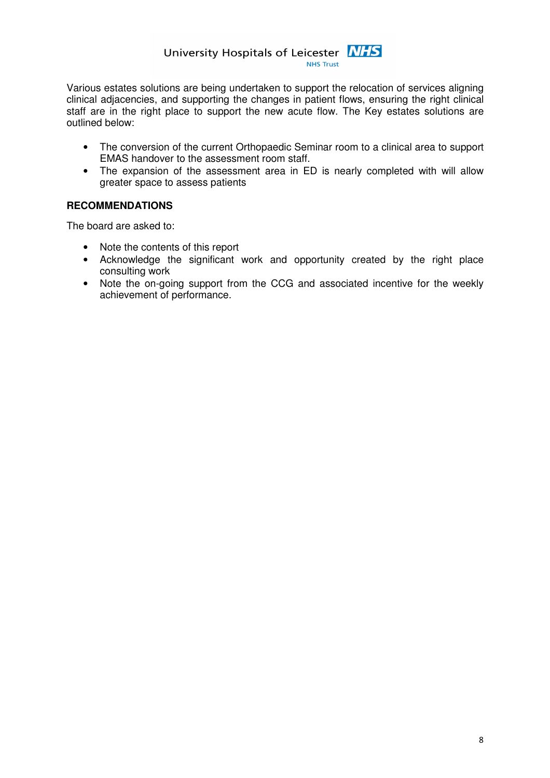Various estates solutions are being undertaken to support the relocation of services aligning clinical adjacencies, and supporting the changes in patient flows, ensuring the right clinical staff are in the right place to support the new acute flow. The Key estates solutions are outlined below:

- The conversion of the current Orthopaedic Seminar room to a clinical area to support EMAS handover to the assessment room staff.
- The expansion of the assessment area in ED is nearly completed with will allow greater space to assess patients

# **RECOMMENDATIONS**

The board are asked to:

- Note the contents of this report
- Acknowledge the significant work and opportunity created by the right place consulting work
- Note the on-going support from the CCG and associated incentive for the weekly achievement of performance.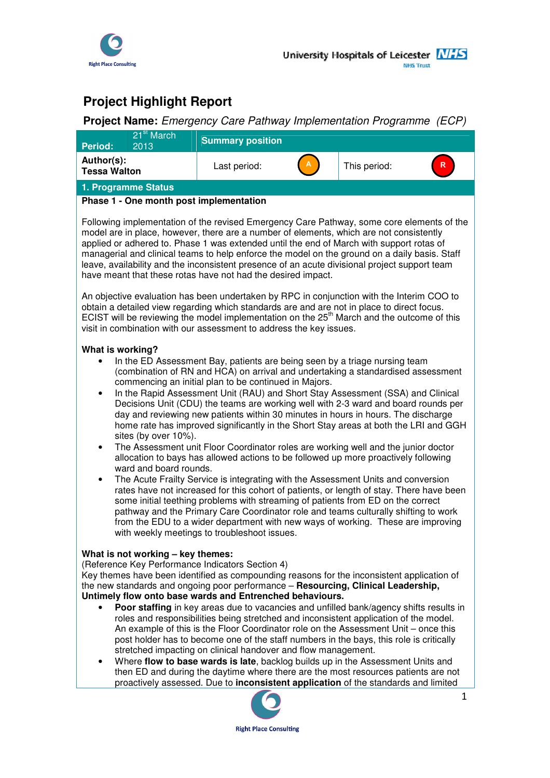

# **Project Highlight Report**

# **Project Name:** Emergency Care Pathway Implementation Programme (ECP)

| Period:                                                                                                                                                                                                                                                                                                                                                                                                                                                                                                                                            | 21 <sup>st</sup> March<br>2013                                                                                                                                                                                                                                                                                                                                                                                                                                                                                                                                                                                                                                                                                                                                                                                                                                                                                                                                                                                                                                                                                                                                                                                                                                                                                                   | <b>Summary position</b>                                                                                                                                                                                                                                                                                                                                                                                                                                                                                                                                                                                                                                                                                                                                                                                                                                                                                        |  |              |  |  |  |  |
|----------------------------------------------------------------------------------------------------------------------------------------------------------------------------------------------------------------------------------------------------------------------------------------------------------------------------------------------------------------------------------------------------------------------------------------------------------------------------------------------------------------------------------------------------|----------------------------------------------------------------------------------------------------------------------------------------------------------------------------------------------------------------------------------------------------------------------------------------------------------------------------------------------------------------------------------------------------------------------------------------------------------------------------------------------------------------------------------------------------------------------------------------------------------------------------------------------------------------------------------------------------------------------------------------------------------------------------------------------------------------------------------------------------------------------------------------------------------------------------------------------------------------------------------------------------------------------------------------------------------------------------------------------------------------------------------------------------------------------------------------------------------------------------------------------------------------------------------------------------------------------------------|----------------------------------------------------------------------------------------------------------------------------------------------------------------------------------------------------------------------------------------------------------------------------------------------------------------------------------------------------------------------------------------------------------------------------------------------------------------------------------------------------------------------------------------------------------------------------------------------------------------------------------------------------------------------------------------------------------------------------------------------------------------------------------------------------------------------------------------------------------------------------------------------------------------|--|--------------|--|--|--|--|
| Author(s):<br><b>Tessa Walton</b>                                                                                                                                                                                                                                                                                                                                                                                                                                                                                                                  |                                                                                                                                                                                                                                                                                                                                                                                                                                                                                                                                                                                                                                                                                                                                                                                                                                                                                                                                                                                                                                                                                                                                                                                                                                                                                                                                  | Last period:                                                                                                                                                                                                                                                                                                                                                                                                                                                                                                                                                                                                                                                                                                                                                                                                                                                                                                   |  | This period: |  |  |  |  |
| 1. Programme Status                                                                                                                                                                                                                                                                                                                                                                                                                                                                                                                                |                                                                                                                                                                                                                                                                                                                                                                                                                                                                                                                                                                                                                                                                                                                                                                                                                                                                                                                                                                                                                                                                                                                                                                                                                                                                                                                                  |                                                                                                                                                                                                                                                                                                                                                                                                                                                                                                                                                                                                                                                                                                                                                                                                                                                                                                                |  |              |  |  |  |  |
|                                                                                                                                                                                                                                                                                                                                                                                                                                                                                                                                                    |                                                                                                                                                                                                                                                                                                                                                                                                                                                                                                                                                                                                                                                                                                                                                                                                                                                                                                                                                                                                                                                                                                                                                                                                                                                                                                                                  | Phase 1 - One month post implementation                                                                                                                                                                                                                                                                                                                                                                                                                                                                                                                                                                                                                                                                                                                                                                                                                                                                        |  |              |  |  |  |  |
| Following implementation of the revised Emergency Care Pathway, some core elements of the<br>model are in place, however, there are a number of elements, which are not consistently<br>applied or adhered to. Phase 1 was extended until the end of March with support rotas of<br>managerial and clinical teams to help enforce the model on the ground on a daily basis. Staff<br>leave, availability and the inconsistent presence of an acute divisional project support team<br>have meant that these rotas have not had the desired impact. |                                                                                                                                                                                                                                                                                                                                                                                                                                                                                                                                                                                                                                                                                                                                                                                                                                                                                                                                                                                                                                                                                                                                                                                                                                                                                                                                  |                                                                                                                                                                                                                                                                                                                                                                                                                                                                                                                                                                                                                                                                                                                                                                                                                                                                                                                |  |              |  |  |  |  |
| An objective evaluation has been undertaken by RPC in conjunction with the Interim COO to<br>obtain a detailed view regarding which standards are and are not in place to direct focus.<br>ECIST will be reviewing the model implementation on the 25 <sup>th</sup> March and the outcome of this<br>visit in combination with our assessment to address the key issues.                                                                                                                                                                           |                                                                                                                                                                                                                                                                                                                                                                                                                                                                                                                                                                                                                                                                                                                                                                                                                                                                                                                                                                                                                                                                                                                                                                                                                                                                                                                                  |                                                                                                                                                                                                                                                                                                                                                                                                                                                                                                                                                                                                                                                                                                                                                                                                                                                                                                                |  |              |  |  |  |  |
| ٠<br>٠                                                                                                                                                                                                                                                                                                                                                                                                                                                                                                                                             | What is working?<br>In the ED Assessment Bay, patients are being seen by a triage nursing team<br>(combination of RN and HCA) on arrival and undertaking a standardised assessment<br>commencing an initial plan to be continued in Majors.<br>In the Rapid Assessment Unit (RAU) and Short Stay Assessment (SSA) and Clinical<br>Decisions Unit (CDU) the teams are working well with 2-3 ward and board rounds per<br>day and reviewing new patients within 30 minutes in hours in hours. The discharge<br>home rate has improved significantly in the Short Stay areas at both the LRI and GGH<br>sites (by over 10%).<br>The Assessment unit Floor Coordinator roles are working well and the junior doctor<br>allocation to bays has allowed actions to be followed up more proactively following<br>ward and board rounds.<br>The Acute Frailty Service is integrating with the Assessment Units and conversion<br>rates have not increased for this cohort of patients, or length of stay. There have been<br>some initial teething problems with streaming of patients from ED on the correct<br>pathway and the Primary Care Coordinator role and teams culturally shifting to work<br>from the EDU to a wider department with new ways of working. These are improving<br>with weekly meetings to troubleshoot issues. |                                                                                                                                                                                                                                                                                                                                                                                                                                                                                                                                                                                                                                                                                                                                                                                                                                                                                                                |  |              |  |  |  |  |
| $\bullet$<br>٠                                                                                                                                                                                                                                                                                                                                                                                                                                                                                                                                     | What is not working - key themes:                                                                                                                                                                                                                                                                                                                                                                                                                                                                                                                                                                                                                                                                                                                                                                                                                                                                                                                                                                                                                                                                                                                                                                                                                                                                                                | (Reference Key Performance Indicators Section 4)<br>Key themes have been identified as compounding reasons for the inconsistent application of<br>the new standards and ongoing poor performance - Resourcing, Clinical Leadership,<br>Untimely flow onto base wards and Entrenched behaviours.<br>Poor staffing in key areas due to vacancies and unfilled bank/agency shifts results in<br>roles and responsibilities being stretched and inconsistent application of the model.<br>An example of this is the Floor Coordinator role on the Assessment Unit - once this<br>post holder has to become one of the staff numbers in the bays, this role is critically<br>stretched impacting on clinical handover and flow management.<br>Where flow to base wards is late, backlog builds up in the Assessment Units and<br>then ED and during the daytime where there are the most resources patients are not |  |              |  |  |  |  |

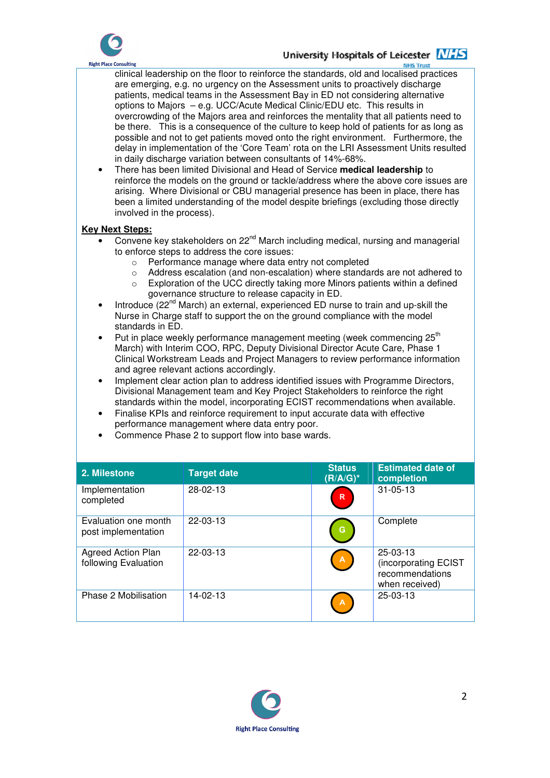

# University Hospitals of Leicester NHS

**NES Trust** clinical leadership on the floor to reinforce the standards, old and localised practices are emerging, e.g. no urgency on the Assessment units to proactively discharge patients, medical teams in the Assessment Bay in ED not considering alternative options to Majors – e.g. UCC/Acute Medical Clinic/EDU etc. This results in overcrowding of the Majors area and reinforces the mentality that all patients need to be there. This is a consequence of the culture to keep hold of patients for as long as possible and not to get patients moved onto the right environment. Furthermore, the delay in implementation of the 'Core Team' rota on the LRI Assessment Units resulted in daily discharge variation between consultants of 14%-68%.

• There has been limited Divisional and Head of Service **medical leadership** to reinforce the models on the ground or tackle/address where the above core issues are arising. Where Divisional or CBU managerial presence has been in place, there has been a limited understanding of the model despite briefings (excluding those directly involved in the process).

#### **Key Next Steps:**

- **Convene key stakeholders on 22<sup>nd</sup> March including medical, nursing and managerial** to enforce steps to address the core issues:
	- o Performance manage where data entry not completed
	- o Address escalation (and non-escalation) where standards are not adhered to
	- o Exploration of the UCC directly taking more Minors patients within a defined governance structure to release capacity in ED.
- Introduce (22<sup>nd</sup> March) an external, experienced ED nurse to train and up-skill the Nurse in Charge staff to support the on the ground compliance with the model standards in ED.
- Put in place weekly performance management meeting (week commencing 25<sup>th</sup>) March) with Interim COO, RPC, Deputy Divisional Director Acute Care, Phase 1 Clinical Workstream Leads and Project Managers to review performance information and agree relevant actions accordingly.
- Implement clear action plan to address identified issues with Programme Directors, Divisional Management team and Key Project Stakeholders to reinforce the right standards within the model, incorporating ECIST recommendations when available.
- Finalise KPIs and reinforce requirement to input accurate data with effective performance management where data entry poor.
- Commence Phase 2 to support flow into base wards.

| 2. Milestone                                      | <b>Target date</b> | <b>Status</b><br>$(R/A/G)^*$ | <b>Estimated date of</b><br>completion                                |
|---------------------------------------------------|--------------------|------------------------------|-----------------------------------------------------------------------|
| Implementation<br>completed                       | 28-02-13           | ${\mathbf R}$                | $31 - 05 - 13$                                                        |
| Evaluation one month<br>post implementation       | $22 - 03 - 13$     | G                            | Complete                                                              |
| <b>Agreed Action Plan</b><br>following Evaluation | $22 - 03 - 13$     | $\overline{A}$               | 25-03-13<br>(incorporating ECIST<br>recommendations<br>when received) |
| Phase 2 Mobilisation                              | $14 - 02 - 13$     | $\overline{A}$               | $25-03-13$                                                            |

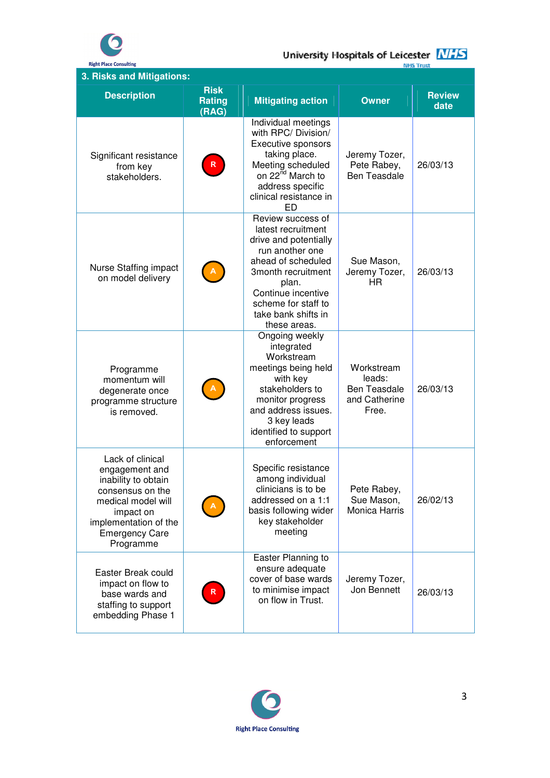

# University Hospitals of Leicester **MHS**

| 3. Risks and Mitigations:                                                                                                                                                       |                                       |                                                                                                                                                                                                                              |                                                                       |                       |
|---------------------------------------------------------------------------------------------------------------------------------------------------------------------------------|---------------------------------------|------------------------------------------------------------------------------------------------------------------------------------------------------------------------------------------------------------------------------|-----------------------------------------------------------------------|-----------------------|
| <b>Description</b>                                                                                                                                                              | <b>Risk</b><br><b>Rating</b><br>(RAG) | <b>Mitigating action</b>                                                                                                                                                                                                     | <b>Owner</b>                                                          | <b>Review</b><br>date |
| Significant resistance<br>from key<br>stakeholders.                                                                                                                             | $\mathsf{R}$                          | Individual meetings<br>with RPC/ Division/<br><b>Executive sponsors</b><br>taking place.<br>Meeting scheduled<br>on 22 <sup>nd</sup> March to<br>address specific<br>clinical resistance in<br><b>ED</b>                     | Jeremy Tozer,<br>Pete Rabey,<br><b>Ben Teasdale</b>                   | 26/03/13              |
| Nurse Staffing impact<br>on model delivery                                                                                                                                      |                                       | Review success of<br>latest recruitment<br>drive and potentially<br>run another one<br>ahead of scheduled<br>3month recruitment<br>plan.<br>Continue incentive<br>scheme for staff to<br>take bank shifts in<br>these areas. | Sue Mason,<br>Jeremy Tozer,<br><b>HR</b>                              | 26/03/13              |
| Programme<br>momentum will<br>degenerate once<br>programme structure<br>is removed.                                                                                             |                                       | Ongoing weekly<br>integrated<br>Workstream<br>meetings being held<br>with key<br>stakeholders to<br>monitor progress<br>and address issues.<br>3 key leads<br>identified to support<br>enforcement                           | Workstream<br>leads:<br><b>Ben Teasdale</b><br>and Catherine<br>Free. | 26/03/13              |
| Lack of clinical<br>engagement and<br>inability to obtain<br>consensus on the<br>medical model will<br>impact on<br>implementation of the<br><b>Emergency Care</b><br>Programme |                                       | Specific resistance<br>among individual<br>clinicians is to be<br>addressed on a 1:1<br>basis following wider<br>key stakeholder<br>meeting                                                                                  | Pete Rabey,<br>Sue Mason,<br>Monica Harris                            | 26/02/13              |
| Easter Break could<br>impact on flow to<br>base wards and<br>staffing to support<br>embedding Phase 1                                                                           | $\mathsf{R}$                          | Easter Planning to<br>ensure adequate<br>cover of base wards<br>to minimise impact<br>on flow in Trust.                                                                                                                      | Jeremy Tozer,<br>Jon Bennett                                          | 26/03/13              |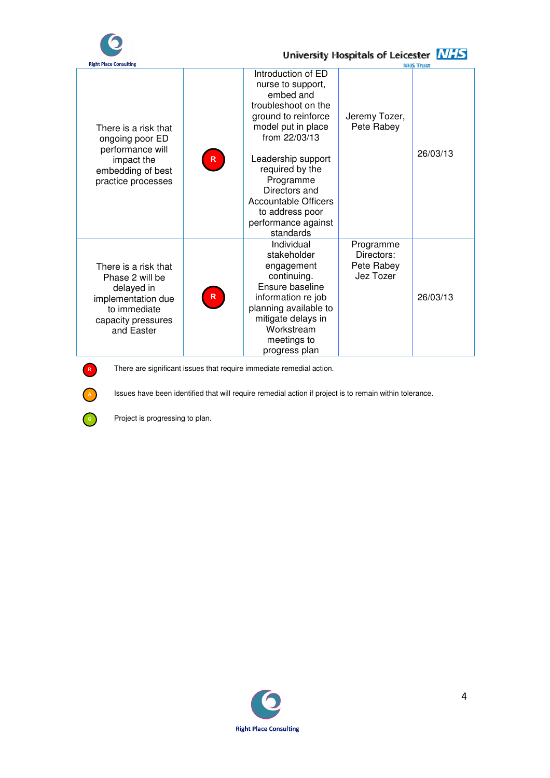

# University Hospitals of Leicester **NHS**

| <b>Right Place Consulting</b>                                                                                                   |                |                                                                                                                                                                                                                                                                                                          |                                                    | <b>NHS Trust</b> |
|---------------------------------------------------------------------------------------------------------------------------------|----------------|----------------------------------------------------------------------------------------------------------------------------------------------------------------------------------------------------------------------------------------------------------------------------------------------------------|----------------------------------------------------|------------------|
| There is a risk that<br>ongoing poor ED<br>performance will<br>impact the<br>embedding of best<br>practice processes            | $\mathsf{R}$   | Introduction of ED<br>nurse to support,<br>embed and<br>troubleshoot on the<br>ground to reinforce<br>model put in place<br>from $22/03/13$<br>Leadership support<br>required by the<br>Programme<br>Directors and<br><b>Accountable Officers</b><br>to address poor<br>performance against<br>standards | Jeremy Tozer,<br>Pete Rabey                        | 26/03/13         |
| There is a risk that<br>Phase 2 will be<br>delayed in<br>implementation due<br>to immediate<br>capacity pressures<br>and Easter | $\mathsf{R}^-$ | Individual<br>stakeholder<br>engagement<br>continuing.<br>Ensure baseline<br>information re job<br>planning available to<br>mitigate delays in<br>Workstream<br>meetings to<br>progress plan                                                                                                             | Programme<br>Directors:<br>Pete Rabey<br>Jez Tozer | 26/03/13         |



R There are significant issues that require immediate remedial action.

A Issues have been identified that will require remedial action if project is to remain within tolerance.

**G** Project is progressing to plan.